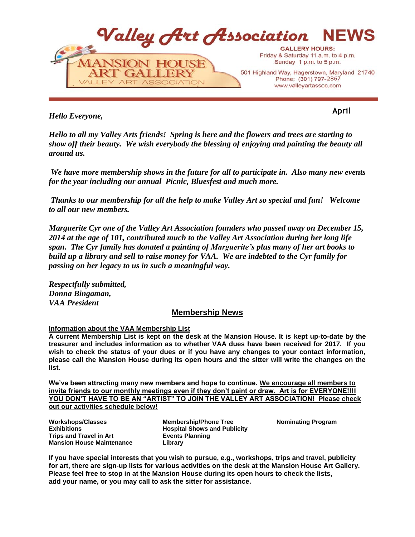

*Hello Everyone,*

**April**

*Hello to all my Valley Arts friends! Spring is here and the flowers and trees are starting to show off their beauty. We wish everybody the blessing of enjoying and painting the beauty all around us.*

*We have more membership shows in the future for all to participate in. Also many new events for the year including our annual Picnic, Bluesfest and much more.* 

*Thanks to our membership for all the help to make Valley Art so special and fun! Welcome to all our new members.*

*Marguerite Cyr one of the Valley Art Association founders who passed away on December 15, 2014 at the age of 101, contributed much to the Valley Art Association during her long life span. The Cyr family has donated a painting of Marguerite's plus many of her art books to build up a library and sell to raise money for VAA. We are indebted to the Cyr family for passing on her legacy to us in such a meaningful way.*

*Respectfully submitted, Donna Bingaman, VAA President* 

# **Membership News**

## **Information about the VAA Membership List**

**A current Membership List is kept on the desk at the Mansion House. It is kept up-to-date by the treasurer and includes information as to whether VAA dues have been received for 2017. If you wish to check the status of your dues or if you have any changes to your contact information, please call the Mansion House during its open hours and the sitter will write the changes on the list.**

**We've been attracting many new members and hope to continue. We encourage all members to invite friends to our monthly meetings even if they don't paint or draw. Art is for EVERYONE!!!I YOU DON'T HAVE TO BE AN "ARTIST" TO JOIN THE VALLEY ART ASSOCIATION! Please check out our activities schedule below!**

**Workshops/Classes Exhibitions Trips and Travel in Art Mansion House Maintenance**

**Membership/Phone Tree Hospital Shows and Publicity Events Planning Library**

**Nominating Program**

**If you have special interests that you wish to pursue, e.g., workshops, trips and travel, publicity for art, there are sign-up lists for various activities on the desk at the Mansion House Art Gallery. Please feel free to stop in at the Mansion House during its open hours to check the lists, add your name, or you may call to ask the sitter for assistance.**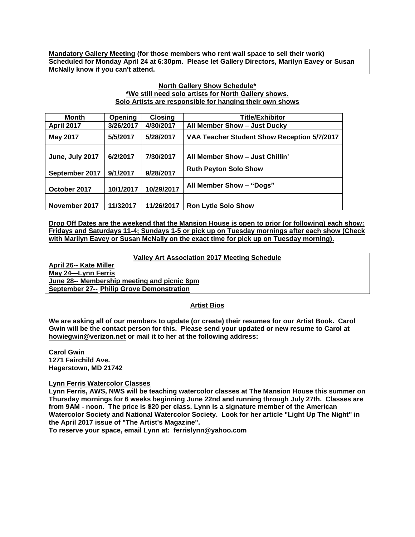**Mandatory Gallery Meeting (for those members who rent wall space to sell their work) Scheduled for Monday April 24 at 6:30pm. Please let Gallery Directors, Marilyn Eavey or Susan McNally know if you can't attend.**

## **North Gallery Show Schedule\* \*We still need solo artists for North Gallery shows. Solo Artists are responsible for hanging their own shows**

| Month             | Opening   | <b>Closing</b> | <b>Title/Exhibitor</b>                      |
|-------------------|-----------|----------------|---------------------------------------------|
| <b>April 2017</b> | 3/26/2017 | 4/30/2017      | All Member Show - Just Ducky                |
| <b>May 2017</b>   | 5/5/2017  | 5/28/2017      | VAA Teacher Student Show Reception 5/7/2017 |
| June, July 2017   | 6/2/2017  | 7/30/2017      | All Member Show - Just Chillin'             |
| September 2017    | 9/1/2017  | 9/28/2017      | <b>Ruth Peyton Solo Show</b>                |
| October 2017      | 10/1/2017 | 10/29/2017     | All Member Show - "Dogs"                    |
| November 2017     | 11/32017  | 11/26/2017     | <b>Ron Lytle Solo Show</b>                  |

**Drop Off Dates are the weekend that the Mansion House is open to prior (or following) each show: Fridays and Saturdays 11-4; Sundays 1-5 or pick up on Tuesday mornings after each show (Check with Marilyn Eavey or Susan McNally on the exact time for pick up on Tuesday morning).**

**Valley Art Association 2017 Meeting Schedule**

**April 26-- Kate Miller May 24—Lynn Ferris June 28-- Membership meeting and picnic 6pm September 27-- Philip Grove Demonstration**

## **Artist Bios**

**We are asking all of our members to update (or create) their resumes for our Artist Book. Carol Gwin will be the contact person for this. Please send your updated or new resume to Carol at howiegwin@verizon.net or mail it to her at the following address:**

**Carol Gwin 1271 Fairchild Ave. Hagerstown, MD 21742**

## **Lynn Ferris Watercolor Classes**

**Lynn Ferris, AWS, NWS will be teaching watercolor classes at The Mansion House this summer on Thursday mornings for 6 weeks beginning June 22nd and running through July 27th. Classes are from 9AM - noon. The price is \$20 per class. Lynn is a signature member of the American Watercolor Society and National Watercolor Society. Look for her article "Light Up The Night" in the April 2017 issue of "The Artist's Magazine".**

**To reserve your space, email Lynn at: ferrislynn@yahoo.com**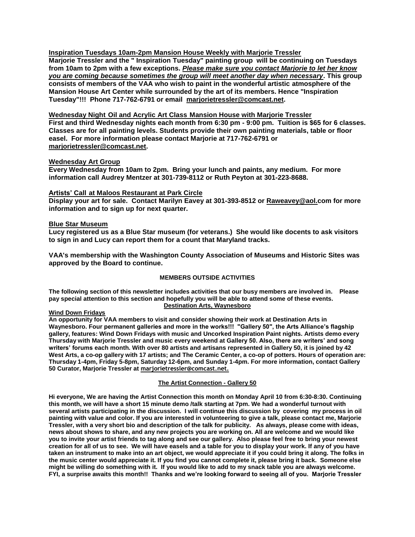**Inspiration Tuesdays 10am-2pm Mansion House Weekly with Marjorie Tressler**

**Marjorie Tressler and the " Inspiration Tuesday" painting group will be continuing on Tuesdays from 10am to 2pm with a few exceptions.** *Please make sure you contact Marjorie to let her know you are coming because sometimes the group will meet another day when necessary***. This group consists of members of the VAA who wish to paint in the wonderful artistic atmosphere of the Mansion House Art Center while surrounded by the art of its members. Hence "Inspiration Tuesday"!!! Phone 717-762-6791 or email marjorietressler@comcast.net.**

**Wednesday Night Oil and Acrylic Art Class Mansion House with Marjorie Tressler**

**First and third Wednesday nights each month from 6:30 pm - 9:00 pm. Tuition is \$65 for 6 classes. Classes are for all painting levels. Students provide their own painting materials, table or floor easel. For more information please contact Marjorie at 717-762-6791 or [marjorietressler@comcast.net.](mailto:marjorietressler@comcast.net)**

### **Wednesday Art Group**

**Every Wednesday from 10am to 2pm. Bring your lunch and paints, any medium. For more information call Audrey Mentzer at 301-739-8112 or Ruth Peyton at 301-223-8688.**

### **Artists' Call at Maloos Restaurant at Park Circle**

**Display your art for sale. Contact Marilyn Eavey at 301-393-8512 or [Raweavey@aol.com](mailto:Raweavey@aol.com) for more information and to sign up for next quarter.**

### **Blue Star Museum**

**Lucy registered us as a Blue Star museum (for veterans.) She would like docents to ask visitors to sign in and Lucy can report them for a count that Maryland tracks.** 

**VAA's membership with the Washington County Association of Museums and Historic Sites was approved by the Board to continue.** 

## **MEMBERS OUTSIDE ACTIVITIES**

**The following section of this newsletter includes activities that our busy members are involved in. Please pay special attention to this section and hopefully you will be able to attend some of these events. Destination Arts, Waynesboro**

#### **Wind Down Fridays**

**An opportunity for VAA members to visit and consider showing their work at Destination Arts in Waynesboro. Four permanent galleries and more in the works!!! "Gallery 50", the Arts Alliance's flagship gallery, features: Wind Down Fridays with music and Uncorked Inspiration Paint nights. Artists demo every Thursday with Marjorie Tressler and music every weekend at Gallery 50. Also, there are writers' and song writers' forums each month. With over 80 artists and artisans represented in Gallery 50, it is joined by 42 West Arts, a co-op gallery with 17 artists; and The Ceramic Center, a co-op of potters. Hours of operation are: Thursday 1-4pm, Friday 5-8pm, Saturday 12-6pm, and Sunday 1-4pm. For more information, contact Gallery 50 Curator, Marjorie Tressler at [marjorietressler@comcast.net.](mailto:marjorietressler@comcast.net)**

## **The Artist Connection - Gallery 50**

**Hi everyone, We are having the Artist Connection this month on Monday April 10 from 6:30-8:30. Continuing this month, we will have a short 15 minute demo /talk starting at 7pm. We had a wonderful turnout with several artists participating in the discussion. I will continue this discussion by covering my process in oil painting with value and color. If you are interested in volunteering to give a talk, please contact me, Marjorie Tressler, with a very short bio and description of the talk for publicity. As always, please come with ideas, news about shows to share, and any new projects you are working on. All are welcome and we would like you to invite your artist friends to tag along and see our gallery. Also please feel free to bring your newest creation for all of us to see. We will have easels and a table for you to display your work. If any of you have taken an instrument to make into an art object, we would appreciate it if you could bring it along. The folks in the music center would appreciate it. If you find you cannot complete it, please bring it back. Someone else might be willing do something with it. If you would like to add to my snack table you are always welcome. FYI, a surprise awaits this month!! Thanks and we're looking forward to seeing all of you. Marjorie Tressler**